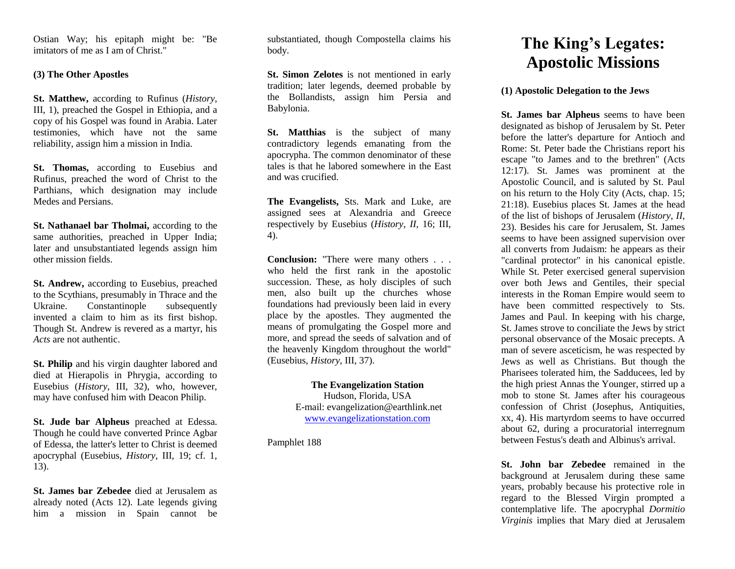Ostian Way; his epitaph might be: "Be imitators of me as I am of Christ."

## **(3) The Other Apostles**

**St. Matthew,** according to Rufinus (*History*, III*,* 1), preached the Gospel in Ethiopia, and a copy of his Gospel was found in Arabia. Later testimonies, which have not the same reliability, assign him a mission in India.

**St. Thomas,** according to Eusebius and Rufinus, preached the word of Christ to the Parthians, which designation may include Medes and Persians.

**St. Nathanael bar Tholmai,** according to the same authorities, preached in Upper India; later and unsubstantiated legends assign him other mission fields.

**St. Andrew,** according to Eusebius, preached to the Scythians, presumably in Thrace and the Ukraine. Constantinople subsequently invented a claim to him as its first bishop. Though St. Andrew is revered as a martyr, his *Acts* are not authentic.

**St. Philip** and his virgin daughter labored and died at Hierapolis in Phrygia, according to Eusebius (*History*, III, 32), who, however, may have confused him with Deacon Philip.

**St. Jude bar Alpheus** preached at Edessa. Though he could have converted Prince Agbar of Edessa, the latter's letter to Christ is deemed apocryphal (Eusebius, *History*, III*,* 19; cf. 1, 13).

**St. James bar Zebedee** died at Jerusalem as already noted (Acts 12). Late legends giving him a mission in Spain cannot be substantiated, though Compostella claims his body.

**St. Simon Zelotes** is not mentioned in early tradition; later legends, deemed probable by the Bollandists, assign him Persia and Babylonia.

**St. Matthias** is the subject of many contradictory legends emanating from the apocrypha. The common denominator of these tales is that he labored somewhere in the East and was crucified.

**The Evangelists,** Sts. Mark and Luke, are assigned sees at Alexandria and Greece respectively by Eusebius (*History*, *II,* 16; III, 4).

**Conclusion:** "There were many others . . . who held the first rank in the apostolic succession. These, as holy disciples of such men, also built up the churches whose foundations had previously been laid in every place by the apostles. They augmented the means of promulgating the Gospel more and more, and spread the seeds of salvation and of the heavenly Kingdom throughout the world" (Eusebius, *History*, III, 37).

> **The Evangelization Station** Hudson, Florida, USA E-mail: evangelization@earthlink.net [www.evangelizationstation.com](http://www.pjpiisoe.org/)

Pamphlet 188

## **The King's Legates: Apostolic Missions**

## **(1) Apostolic Delegation to the Jews**

**St. James bar Alpheus** seems to have been designated as bishop of Jerusalem by St. Peter before the latter's departure for Antioch and Rome: St. Peter bade the Christians report his escape "to James and to the brethren" (Acts 12:17). St. James was prominent at the Apostolic Council, and is saluted by St. Paul on his return to the Holy City (Acts, chap. 15; 21:18). Eusebius places St. James at the head of the list of bishops of Jerusalem (*History*, *II,*  23). Besides his care for Jerusalem, St. James seems to have been assigned supervision over all converts from Judaism: he appears as their "cardinal protector" in his canonical epistle. While St. Peter exercised general supervision over both Jews and Gentiles, their special interests in the Roman Empire would seem to have been committed respectively to Sts. James and Paul. In keeping with his charge, St. James strove to conciliate the Jews by strict personal observance of the Mosaic precepts. A man of severe asceticism, he was respected by Jews as well as Christians. But though the Pharisees tolerated him, the Sadducees, led by the high priest Annas the Younger, stirred up a mob to stone St. James after his courageous confession of Christ (Josephus, Antiquities, xx, 4). His martyrdom seems to have occurred about 62, during a procuratorial interregnum between Festus's death and Albinus's arrival.

**St. John bar Zebedee** remained in the background at Jerusalem during these same years, probably because his protective role in regard to the Blessed Virgin prompted a contemplative life. The apocryphal *Dormitio Virginis* implies that Mary died at Jerusalem